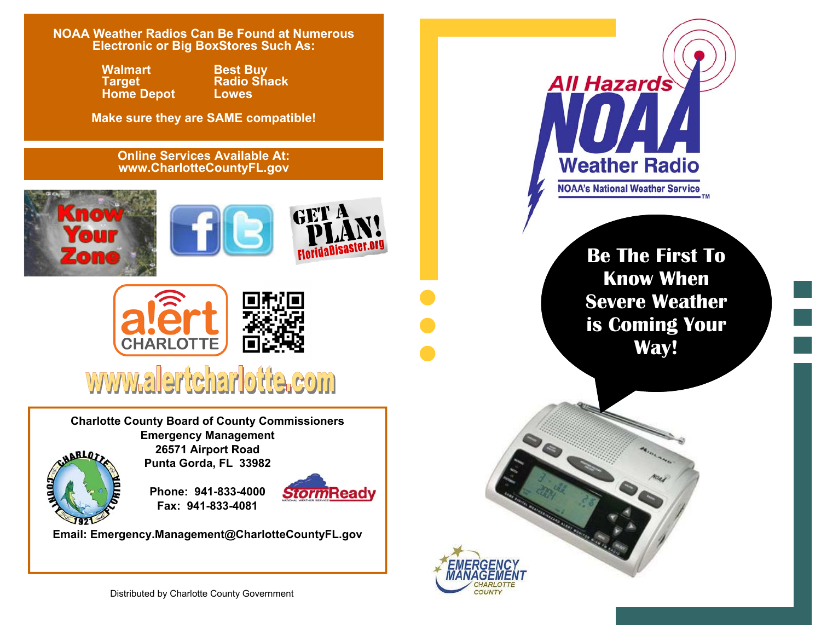**NOAA Weather Radios Can Be Found at Numerous Electronic or Big BoxStores Such As:** 

> **Walmart** Best Buy<br> **Target** Radio Shack<br>
> Home Depot Lowes **Home Depot**

**Make sure they are SAME compatible!** 

## **Online Services Available At: www.CharlotteCountyFL.gov**









## www.alertcharlotte.com

**Charlotte County Board of County Commissioners Emergency Management 26571 Airport Road Punta Gorda, FL 33982** 



**Phone: 941-833-4000** 



**Email: Emergency.Management@CharlotteCountyFL.gov** 

**Fax: 941-833-4081** 

Distributed by Charlotte County Government